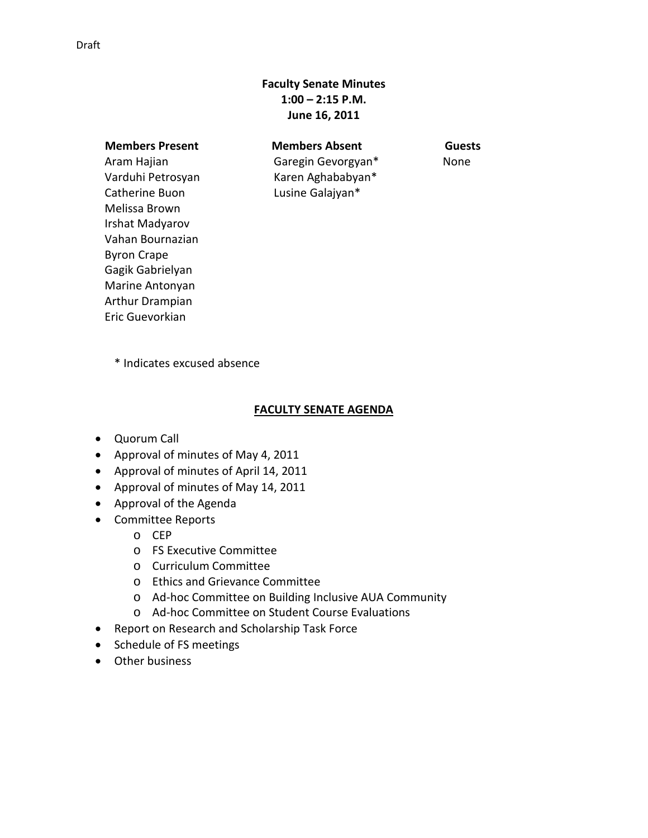## **Faculty Senate Minutes 1:00 – 2:15 P.M. June 16, 2011**

Aram Hajian Varduhi Petrosyan Catherine Buon Melissa Brown Irshat Madyarov Vahan Bournazian Byron Crape Gagik Gabrielyan Marine Antonyan Arthur Drampian Eric Guevorkian

 **Members Present Members Absent Guests** Garegin Gevorgyan\* Karen Aghababyan\* Lusine Galajyan\*

None

\* Indicates excused absence

## **FACULTY SENATE AGENDA**

- Quorum Call
- Approval of minutes of May 4, 2011
- Approval of minutes of April 14, 2011
- Approval of minutes of May 14, 2011
- Approval of the Agenda
- Committee Reports
	- o CEP
	- o FS Executive Committee
	- o Curriculum Committee
	- o Ethics and Grievance Committee
	- o Ad-hoc Committee on Building Inclusive AUA Community
	- o Ad-hoc Committee on Student Course Evaluations
- Report on Research and Scholarship Task Force
- Schedule of FS meetings
- Other business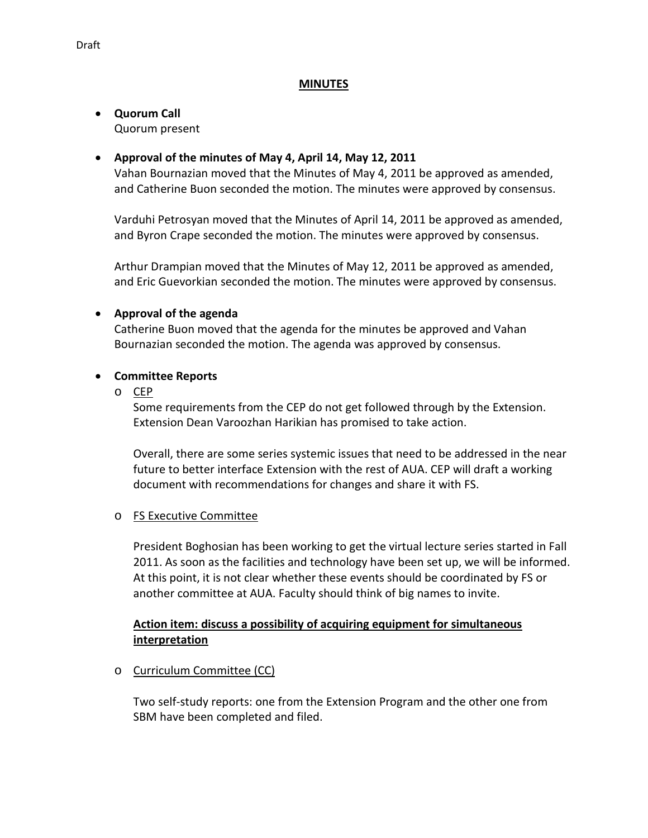### **MINUTES**

### • **Quorum Call** Quorum present

## • **Approval of the minutes of May 4, April 14, May 12, 2011**

Vahan Bournazian moved that the Minutes of May 4, 2011 be approved as amended, and Catherine Buon seconded the motion. The minutes were approved by consensus.

Varduhi Petrosyan moved that the Minutes of April 14, 2011 be approved as amended, and Byron Crape seconded the motion. The minutes were approved by consensus.

Arthur Drampian moved that the Minutes of May 12, 2011 be approved as amended, and Eric Guevorkian seconded the motion. The minutes were approved by consensus.

## • **Approval of the agenda**

Catherine Buon moved that the agenda for the minutes be approved and Vahan Bournazian seconded the motion. The agenda was approved by consensus.

### • **Committee Reports**

o CEP

Some requirements from the CEP do not get followed through by the Extension. Extension Dean Varoozhan Harikian has promised to take action.

Overall, there are some series systemic issues that need to be addressed in the near future to better interface Extension with the rest of AUA. CEP will draft a working document with recommendations for changes and share it with FS.

#### o FS Executive Committee

President Boghosian has been working to get the virtual lecture series started in Fall 2011. As soon as the facilities and technology have been set up, we will be informed. At this point, it is not clear whether these events should be coordinated by FS or another committee at AUA. Faculty should think of big names to invite.

## **Action item: discuss a possibility of acquiring equipment for simultaneous interpretation**

o Curriculum Committee (CC)

Two self-study reports: one from the Extension Program and the other one from SBM have been completed and filed.